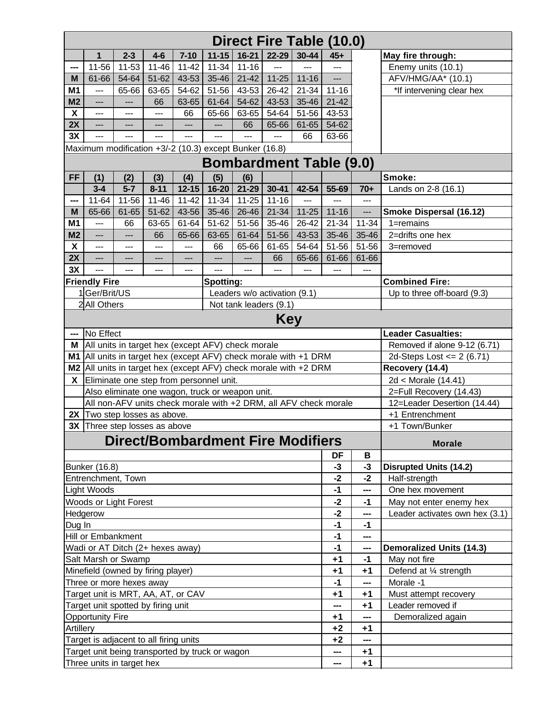| 30-44<br>$2 - 3$<br>$7 - 10$<br>$11 - 15$<br>$16 - 21$<br>22-29<br>1<br>$4-6$<br>$45+$<br>May fire through:<br>11-56<br>11-53<br>$11 - 46$<br>$11 - 34$<br>$11 - 42$<br>$11 - 16$<br>Enemy units (10.1)<br>$\overline{a}$<br>---<br>$---$<br>---<br>AFV/HMG/AA* (10.1)<br>$51-62$<br>43-53<br>$35 - 46$<br>$21 - 42$<br>$11 - 25$<br>61-66<br>54-64<br>$11 - 16$<br>М<br>$---$<br>M1<br>65-66<br>63-65<br>54-62<br>51-56<br>43-53<br>$26 - 42$<br>$21 - 34$<br>$11 - 16$<br>*If intervening clear hex<br>$---$<br>M <sub>2</sub><br>43-53<br>35-46<br>$21 - 42$<br>63-65<br>61-64<br>54-62<br>66<br>$---$<br>$---$<br>$\boldsymbol{\mathsf{X}}$<br>65-66<br>63-65<br>54-64<br>51-56<br>43-53<br>66<br>$---$<br>$---$<br>$---$<br>2X<br>65-66<br>61-65<br>54-62<br>66<br>$---$<br>$---$<br>---<br>---<br>$---$<br>3X<br>66<br>63-66<br>$---$<br>$---$<br>Maximum modification +3/-2 (10.3) except Bunker (16.8)<br><b>Bombardment Table (9.0)</b><br><b>FF</b><br>(4)<br>(6)<br>Smoke:<br>(1)<br>(2)<br>(3)<br>(5)<br>$16 - 20$<br>21-29<br>$3 - 4$<br>$5 - 7$<br>$8 - 11$<br>$12 - 15$<br>$30 - 41$<br>42-54<br>55-69<br>$70+$<br>Lands on 2-8 (16.1)<br>$11 - 46$<br>$11 - 34$<br>$11 - 16$<br>$11-64$<br>11-56<br>$11 - 42$<br>$11 - 25$<br>$\overline{a}$<br>$---$<br>$---$<br>---<br>M<br>$61 - 65$<br>$51-62$<br>35-46<br>21-34<br>$11 - 25$<br>65-66<br>43-56<br>26-46<br>$11 - 16$<br>Smoke Dispersal (16.12)<br>---<br>M1<br>$61 - 64$<br>35-46<br>$11 - 34$<br>63-65<br>$51-62$<br>51-56<br>$26 - 42$<br>$21 - 34$<br>$1 =$ remains<br>66<br>---<br>M <sub>2</sub><br>63-65<br>35-46<br>35-46<br>2=drifts one hex<br>66<br>65-66<br>61-64<br>51-56<br>43-53<br>$---$<br>$---$<br>X<br>61-65<br>54-64<br>51-56<br>51-56<br>66<br>65-66<br>3=removed<br>$---$<br>$---$<br>$---$<br>$---$<br>2X<br>61-66<br>65-66<br>61-66<br>66<br>$---$<br>$---$<br>---<br>---<br>---<br>---<br>3X<br>---<br>$---$<br>---<br>---<br>$---$<br>$---$<br>$---$<br>$---$<br>---<br>$---$<br><b>Combined Fire:</b><br><b>Friendly Fire</b><br>Spotting:<br>1Ger/Brit/US<br>Leaders w/o activation (9.1)<br>Up to three off-board (9.3)<br>2 All Others<br>Not tank leaders (9.1)<br>Key<br>No Effect<br><b>Leader Casualties:</b><br>---<br>All units in target hex (except AFV) check morale<br>Removed if alone 9-12 (6.71)<br>М<br>M1 All units in target hex (except AFV) check morale with +1 DRM<br>2d-Steps Lost <= $2(6.71)$<br>M2 All units in target hex (except AFV) check morale with +2 DRM<br>Recovery (14.4)<br>Eliminate one step from personnel unit.<br>2d < Morale (14.41)<br>X.<br>Also eliminate one wagon, truck or weapon unit.<br>2=Full Recovery (14.43)<br>All non-AFV units check morale with +2 DRM, all AFV check morale<br>12=Leader Desertion (14.44)<br>2X Two step losses as above.<br>+1 Entrenchment<br>3X Three step losses as above<br>+1 Town/Bunker<br><b>Direct/Bombardment Fire Modifiers</b><br><b>Morale</b><br>DF<br>В<br><b>Bunker (16.8)</b><br>$-3$<br>$-3$<br><b>Disrupted Units (14.2)</b><br>$-2$<br>Entrenchment, Town<br>$-2$<br>Half-strength<br>Light Woods<br>One hex movement<br>$-1$<br>---<br>Woods or Light Forest<br>$-2$<br>May not enter enemy hex<br>$-1$<br>$-2$<br>Leader activates own hex (3.1)<br>Hedgerow<br>---<br>$-1$<br>Dug In<br>$-1$<br>Hill or Embankment<br>$-1$<br>---<br>Wadi or AT Ditch (2+ hexes away)<br>$-1$<br><b>Demoralized Units (14.3)</b><br>---<br>Salt Marsh or Swamp<br>$+1$<br>May not fire<br>$-1$<br>Minefield (owned by firing player)<br>$+1$<br>Defend at 1/4 strength<br>$+1$<br>$-1$<br>Morale -1<br>---<br>Target unit is MRT, AA, AT, or CAV<br>$+1$<br>$+1$<br>Must attempt recovery<br>Leader removed if<br>Target unit spotted by firing unit<br>$+1$<br>---<br><b>Opportunity Fire</b><br>$+1$<br>Demoralized again<br>---<br>$+2$<br>$+1$<br>Target is adjacent to all firing units<br>$+2$<br>---<br>Target unit being transported by truck or wagon<br>$+1$<br>$\overline{\phantom{a}}$<br>$\qquad \qquad \cdots$ | Direct Fire Table (10.0)  |  |  |  |  |  |  |  |  |  |      |  |  |  |
|--------------------------------------------------------------------------------------------------------------------------------------------------------------------------------------------------------------------------------------------------------------------------------------------------------------------------------------------------------------------------------------------------------------------------------------------------------------------------------------------------------------------------------------------------------------------------------------------------------------------------------------------------------------------------------------------------------------------------------------------------------------------------------------------------------------------------------------------------------------------------------------------------------------------------------------------------------------------------------------------------------------------------------------------------------------------------------------------------------------------------------------------------------------------------------------------------------------------------------------------------------------------------------------------------------------------------------------------------------------------------------------------------------------------------------------------------------------------------------------------------------------------------------------------------------------------------------------------------------------------------------------------------------------------------------------------------------------------------------------------------------------------------------------------------------------------------------------------------------------------------------------------------------------------------------------------------------------------------------------------------------------------------------------------------------------------------------------------------------------------------------------------------------------------------------------------------------------------------------------------------------------------------------------------------------------------------------------------------------------------------------------------------------------------------------------------------------------------------------------------------------------------------------------------------------------------------------------------------------------------------------------------------------------------------------------------------------------------------------------------------------------------------------------------------------------------------------------------------------------------------------------------------------------------------------------------------------------------------------------------------------------------------------------------------------------------------------------------------------------------------------------------------------------------------------------------------------------------------------------------------------------------------------------------------------------------------------------------------------------------------------------------------------------------------------------------------------------------------------------------------------------------------------------------------------------------------------------------------------------------------------------------------------------------------------------------------------------------------------------------------------------------------------------------------------------------------------------------------------------------------------------------------------------------------------------------------------------------------------------------------------------------|---------------------------|--|--|--|--|--|--|--|--|--|------|--|--|--|
|                                                                                                                                                                                                                                                                                                                                                                                                                                                                                                                                                                                                                                                                                                                                                                                                                                                                                                                                                                                                                                                                                                                                                                                                                                                                                                                                                                                                                                                                                                                                                                                                                                                                                                                                                                                                                                                                                                                                                                                                                                                                                                                                                                                                                                                                                                                                                                                                                                                                                                                                                                                                                                                                                                                                                                                                                                                                                                                                                                                                                                                                                                                                                                                                                                                                                                                                                                                                                                                                                                                                                                                                                                                                                                                                                                                                                                                                                                                                                                                                                    |                           |  |  |  |  |  |  |  |  |  |      |  |  |  |
|                                                                                                                                                                                                                                                                                                                                                                                                                                                                                                                                                                                                                                                                                                                                                                                                                                                                                                                                                                                                                                                                                                                                                                                                                                                                                                                                                                                                                                                                                                                                                                                                                                                                                                                                                                                                                                                                                                                                                                                                                                                                                                                                                                                                                                                                                                                                                                                                                                                                                                                                                                                                                                                                                                                                                                                                                                                                                                                                                                                                                                                                                                                                                                                                                                                                                                                                                                                                                                                                                                                                                                                                                                                                                                                                                                                                                                                                                                                                                                                                                    |                           |  |  |  |  |  |  |  |  |  |      |  |  |  |
|                                                                                                                                                                                                                                                                                                                                                                                                                                                                                                                                                                                                                                                                                                                                                                                                                                                                                                                                                                                                                                                                                                                                                                                                                                                                                                                                                                                                                                                                                                                                                                                                                                                                                                                                                                                                                                                                                                                                                                                                                                                                                                                                                                                                                                                                                                                                                                                                                                                                                                                                                                                                                                                                                                                                                                                                                                                                                                                                                                                                                                                                                                                                                                                                                                                                                                                                                                                                                                                                                                                                                                                                                                                                                                                                                                                                                                                                                                                                                                                                                    |                           |  |  |  |  |  |  |  |  |  |      |  |  |  |
|                                                                                                                                                                                                                                                                                                                                                                                                                                                                                                                                                                                                                                                                                                                                                                                                                                                                                                                                                                                                                                                                                                                                                                                                                                                                                                                                                                                                                                                                                                                                                                                                                                                                                                                                                                                                                                                                                                                                                                                                                                                                                                                                                                                                                                                                                                                                                                                                                                                                                                                                                                                                                                                                                                                                                                                                                                                                                                                                                                                                                                                                                                                                                                                                                                                                                                                                                                                                                                                                                                                                                                                                                                                                                                                                                                                                                                                                                                                                                                                                                    |                           |  |  |  |  |  |  |  |  |  |      |  |  |  |
|                                                                                                                                                                                                                                                                                                                                                                                                                                                                                                                                                                                                                                                                                                                                                                                                                                                                                                                                                                                                                                                                                                                                                                                                                                                                                                                                                                                                                                                                                                                                                                                                                                                                                                                                                                                                                                                                                                                                                                                                                                                                                                                                                                                                                                                                                                                                                                                                                                                                                                                                                                                                                                                                                                                                                                                                                                                                                                                                                                                                                                                                                                                                                                                                                                                                                                                                                                                                                                                                                                                                                                                                                                                                                                                                                                                                                                                                                                                                                                                                                    |                           |  |  |  |  |  |  |  |  |  |      |  |  |  |
|                                                                                                                                                                                                                                                                                                                                                                                                                                                                                                                                                                                                                                                                                                                                                                                                                                                                                                                                                                                                                                                                                                                                                                                                                                                                                                                                                                                                                                                                                                                                                                                                                                                                                                                                                                                                                                                                                                                                                                                                                                                                                                                                                                                                                                                                                                                                                                                                                                                                                                                                                                                                                                                                                                                                                                                                                                                                                                                                                                                                                                                                                                                                                                                                                                                                                                                                                                                                                                                                                                                                                                                                                                                                                                                                                                                                                                                                                                                                                                                                                    |                           |  |  |  |  |  |  |  |  |  |      |  |  |  |
|                                                                                                                                                                                                                                                                                                                                                                                                                                                                                                                                                                                                                                                                                                                                                                                                                                                                                                                                                                                                                                                                                                                                                                                                                                                                                                                                                                                                                                                                                                                                                                                                                                                                                                                                                                                                                                                                                                                                                                                                                                                                                                                                                                                                                                                                                                                                                                                                                                                                                                                                                                                                                                                                                                                                                                                                                                                                                                                                                                                                                                                                                                                                                                                                                                                                                                                                                                                                                                                                                                                                                                                                                                                                                                                                                                                                                                                                                                                                                                                                                    |                           |  |  |  |  |  |  |  |  |  |      |  |  |  |
|                                                                                                                                                                                                                                                                                                                                                                                                                                                                                                                                                                                                                                                                                                                                                                                                                                                                                                                                                                                                                                                                                                                                                                                                                                                                                                                                                                                                                                                                                                                                                                                                                                                                                                                                                                                                                                                                                                                                                                                                                                                                                                                                                                                                                                                                                                                                                                                                                                                                                                                                                                                                                                                                                                                                                                                                                                                                                                                                                                                                                                                                                                                                                                                                                                                                                                                                                                                                                                                                                                                                                                                                                                                                                                                                                                                                                                                                                                                                                                                                                    |                           |  |  |  |  |  |  |  |  |  |      |  |  |  |
|                                                                                                                                                                                                                                                                                                                                                                                                                                                                                                                                                                                                                                                                                                                                                                                                                                                                                                                                                                                                                                                                                                                                                                                                                                                                                                                                                                                                                                                                                                                                                                                                                                                                                                                                                                                                                                                                                                                                                                                                                                                                                                                                                                                                                                                                                                                                                                                                                                                                                                                                                                                                                                                                                                                                                                                                                                                                                                                                                                                                                                                                                                                                                                                                                                                                                                                                                                                                                                                                                                                                                                                                                                                                                                                                                                                                                                                                                                                                                                                                                    |                           |  |  |  |  |  |  |  |  |  |      |  |  |  |
|                                                                                                                                                                                                                                                                                                                                                                                                                                                                                                                                                                                                                                                                                                                                                                                                                                                                                                                                                                                                                                                                                                                                                                                                                                                                                                                                                                                                                                                                                                                                                                                                                                                                                                                                                                                                                                                                                                                                                                                                                                                                                                                                                                                                                                                                                                                                                                                                                                                                                                                                                                                                                                                                                                                                                                                                                                                                                                                                                                                                                                                                                                                                                                                                                                                                                                                                                                                                                                                                                                                                                                                                                                                                                                                                                                                                                                                                                                                                                                                                                    |                           |  |  |  |  |  |  |  |  |  |      |  |  |  |
|                                                                                                                                                                                                                                                                                                                                                                                                                                                                                                                                                                                                                                                                                                                                                                                                                                                                                                                                                                                                                                                                                                                                                                                                                                                                                                                                                                                                                                                                                                                                                                                                                                                                                                                                                                                                                                                                                                                                                                                                                                                                                                                                                                                                                                                                                                                                                                                                                                                                                                                                                                                                                                                                                                                                                                                                                                                                                                                                                                                                                                                                                                                                                                                                                                                                                                                                                                                                                                                                                                                                                                                                                                                                                                                                                                                                                                                                                                                                                                                                                    |                           |  |  |  |  |  |  |  |  |  |      |  |  |  |
|                                                                                                                                                                                                                                                                                                                                                                                                                                                                                                                                                                                                                                                                                                                                                                                                                                                                                                                                                                                                                                                                                                                                                                                                                                                                                                                                                                                                                                                                                                                                                                                                                                                                                                                                                                                                                                                                                                                                                                                                                                                                                                                                                                                                                                                                                                                                                                                                                                                                                                                                                                                                                                                                                                                                                                                                                                                                                                                                                                                                                                                                                                                                                                                                                                                                                                                                                                                                                                                                                                                                                                                                                                                                                                                                                                                                                                                                                                                                                                                                                    |                           |  |  |  |  |  |  |  |  |  |      |  |  |  |
|                                                                                                                                                                                                                                                                                                                                                                                                                                                                                                                                                                                                                                                                                                                                                                                                                                                                                                                                                                                                                                                                                                                                                                                                                                                                                                                                                                                                                                                                                                                                                                                                                                                                                                                                                                                                                                                                                                                                                                                                                                                                                                                                                                                                                                                                                                                                                                                                                                                                                                                                                                                                                                                                                                                                                                                                                                                                                                                                                                                                                                                                                                                                                                                                                                                                                                                                                                                                                                                                                                                                                                                                                                                                                                                                                                                                                                                                                                                                                                                                                    |                           |  |  |  |  |  |  |  |  |  |      |  |  |  |
|                                                                                                                                                                                                                                                                                                                                                                                                                                                                                                                                                                                                                                                                                                                                                                                                                                                                                                                                                                                                                                                                                                                                                                                                                                                                                                                                                                                                                                                                                                                                                                                                                                                                                                                                                                                                                                                                                                                                                                                                                                                                                                                                                                                                                                                                                                                                                                                                                                                                                                                                                                                                                                                                                                                                                                                                                                                                                                                                                                                                                                                                                                                                                                                                                                                                                                                                                                                                                                                                                                                                                                                                                                                                                                                                                                                                                                                                                                                                                                                                                    |                           |  |  |  |  |  |  |  |  |  |      |  |  |  |
|                                                                                                                                                                                                                                                                                                                                                                                                                                                                                                                                                                                                                                                                                                                                                                                                                                                                                                                                                                                                                                                                                                                                                                                                                                                                                                                                                                                                                                                                                                                                                                                                                                                                                                                                                                                                                                                                                                                                                                                                                                                                                                                                                                                                                                                                                                                                                                                                                                                                                                                                                                                                                                                                                                                                                                                                                                                                                                                                                                                                                                                                                                                                                                                                                                                                                                                                                                                                                                                                                                                                                                                                                                                                                                                                                                                                                                                                                                                                                                                                                    |                           |  |  |  |  |  |  |  |  |  |      |  |  |  |
|                                                                                                                                                                                                                                                                                                                                                                                                                                                                                                                                                                                                                                                                                                                                                                                                                                                                                                                                                                                                                                                                                                                                                                                                                                                                                                                                                                                                                                                                                                                                                                                                                                                                                                                                                                                                                                                                                                                                                                                                                                                                                                                                                                                                                                                                                                                                                                                                                                                                                                                                                                                                                                                                                                                                                                                                                                                                                                                                                                                                                                                                                                                                                                                                                                                                                                                                                                                                                                                                                                                                                                                                                                                                                                                                                                                                                                                                                                                                                                                                                    |                           |  |  |  |  |  |  |  |  |  |      |  |  |  |
|                                                                                                                                                                                                                                                                                                                                                                                                                                                                                                                                                                                                                                                                                                                                                                                                                                                                                                                                                                                                                                                                                                                                                                                                                                                                                                                                                                                                                                                                                                                                                                                                                                                                                                                                                                                                                                                                                                                                                                                                                                                                                                                                                                                                                                                                                                                                                                                                                                                                                                                                                                                                                                                                                                                                                                                                                                                                                                                                                                                                                                                                                                                                                                                                                                                                                                                                                                                                                                                                                                                                                                                                                                                                                                                                                                                                                                                                                                                                                                                                                    |                           |  |  |  |  |  |  |  |  |  |      |  |  |  |
|                                                                                                                                                                                                                                                                                                                                                                                                                                                                                                                                                                                                                                                                                                                                                                                                                                                                                                                                                                                                                                                                                                                                                                                                                                                                                                                                                                                                                                                                                                                                                                                                                                                                                                                                                                                                                                                                                                                                                                                                                                                                                                                                                                                                                                                                                                                                                                                                                                                                                                                                                                                                                                                                                                                                                                                                                                                                                                                                                                                                                                                                                                                                                                                                                                                                                                                                                                                                                                                                                                                                                                                                                                                                                                                                                                                                                                                                                                                                                                                                                    |                           |  |  |  |  |  |  |  |  |  |      |  |  |  |
|                                                                                                                                                                                                                                                                                                                                                                                                                                                                                                                                                                                                                                                                                                                                                                                                                                                                                                                                                                                                                                                                                                                                                                                                                                                                                                                                                                                                                                                                                                                                                                                                                                                                                                                                                                                                                                                                                                                                                                                                                                                                                                                                                                                                                                                                                                                                                                                                                                                                                                                                                                                                                                                                                                                                                                                                                                                                                                                                                                                                                                                                                                                                                                                                                                                                                                                                                                                                                                                                                                                                                                                                                                                                                                                                                                                                                                                                                                                                                                                                                    |                           |  |  |  |  |  |  |  |  |  |      |  |  |  |
|                                                                                                                                                                                                                                                                                                                                                                                                                                                                                                                                                                                                                                                                                                                                                                                                                                                                                                                                                                                                                                                                                                                                                                                                                                                                                                                                                                                                                                                                                                                                                                                                                                                                                                                                                                                                                                                                                                                                                                                                                                                                                                                                                                                                                                                                                                                                                                                                                                                                                                                                                                                                                                                                                                                                                                                                                                                                                                                                                                                                                                                                                                                                                                                                                                                                                                                                                                                                                                                                                                                                                                                                                                                                                                                                                                                                                                                                                                                                                                                                                    |                           |  |  |  |  |  |  |  |  |  |      |  |  |  |
|                                                                                                                                                                                                                                                                                                                                                                                                                                                                                                                                                                                                                                                                                                                                                                                                                                                                                                                                                                                                                                                                                                                                                                                                                                                                                                                                                                                                                                                                                                                                                                                                                                                                                                                                                                                                                                                                                                                                                                                                                                                                                                                                                                                                                                                                                                                                                                                                                                                                                                                                                                                                                                                                                                                                                                                                                                                                                                                                                                                                                                                                                                                                                                                                                                                                                                                                                                                                                                                                                                                                                                                                                                                                                                                                                                                                                                                                                                                                                                                                                    |                           |  |  |  |  |  |  |  |  |  |      |  |  |  |
|                                                                                                                                                                                                                                                                                                                                                                                                                                                                                                                                                                                                                                                                                                                                                                                                                                                                                                                                                                                                                                                                                                                                                                                                                                                                                                                                                                                                                                                                                                                                                                                                                                                                                                                                                                                                                                                                                                                                                                                                                                                                                                                                                                                                                                                                                                                                                                                                                                                                                                                                                                                                                                                                                                                                                                                                                                                                                                                                                                                                                                                                                                                                                                                                                                                                                                                                                                                                                                                                                                                                                                                                                                                                                                                                                                                                                                                                                                                                                                                                                    |                           |  |  |  |  |  |  |  |  |  |      |  |  |  |
|                                                                                                                                                                                                                                                                                                                                                                                                                                                                                                                                                                                                                                                                                                                                                                                                                                                                                                                                                                                                                                                                                                                                                                                                                                                                                                                                                                                                                                                                                                                                                                                                                                                                                                                                                                                                                                                                                                                                                                                                                                                                                                                                                                                                                                                                                                                                                                                                                                                                                                                                                                                                                                                                                                                                                                                                                                                                                                                                                                                                                                                                                                                                                                                                                                                                                                                                                                                                                                                                                                                                                                                                                                                                                                                                                                                                                                                                                                                                                                                                                    |                           |  |  |  |  |  |  |  |  |  |      |  |  |  |
|                                                                                                                                                                                                                                                                                                                                                                                                                                                                                                                                                                                                                                                                                                                                                                                                                                                                                                                                                                                                                                                                                                                                                                                                                                                                                                                                                                                                                                                                                                                                                                                                                                                                                                                                                                                                                                                                                                                                                                                                                                                                                                                                                                                                                                                                                                                                                                                                                                                                                                                                                                                                                                                                                                                                                                                                                                                                                                                                                                                                                                                                                                                                                                                                                                                                                                                                                                                                                                                                                                                                                                                                                                                                                                                                                                                                                                                                                                                                                                                                                    |                           |  |  |  |  |  |  |  |  |  |      |  |  |  |
|                                                                                                                                                                                                                                                                                                                                                                                                                                                                                                                                                                                                                                                                                                                                                                                                                                                                                                                                                                                                                                                                                                                                                                                                                                                                                                                                                                                                                                                                                                                                                                                                                                                                                                                                                                                                                                                                                                                                                                                                                                                                                                                                                                                                                                                                                                                                                                                                                                                                                                                                                                                                                                                                                                                                                                                                                                                                                                                                                                                                                                                                                                                                                                                                                                                                                                                                                                                                                                                                                                                                                                                                                                                                                                                                                                                                                                                                                                                                                                                                                    |                           |  |  |  |  |  |  |  |  |  |      |  |  |  |
|                                                                                                                                                                                                                                                                                                                                                                                                                                                                                                                                                                                                                                                                                                                                                                                                                                                                                                                                                                                                                                                                                                                                                                                                                                                                                                                                                                                                                                                                                                                                                                                                                                                                                                                                                                                                                                                                                                                                                                                                                                                                                                                                                                                                                                                                                                                                                                                                                                                                                                                                                                                                                                                                                                                                                                                                                                                                                                                                                                                                                                                                                                                                                                                                                                                                                                                                                                                                                                                                                                                                                                                                                                                                                                                                                                                                                                                                                                                                                                                                                    |                           |  |  |  |  |  |  |  |  |  |      |  |  |  |
|                                                                                                                                                                                                                                                                                                                                                                                                                                                                                                                                                                                                                                                                                                                                                                                                                                                                                                                                                                                                                                                                                                                                                                                                                                                                                                                                                                                                                                                                                                                                                                                                                                                                                                                                                                                                                                                                                                                                                                                                                                                                                                                                                                                                                                                                                                                                                                                                                                                                                                                                                                                                                                                                                                                                                                                                                                                                                                                                                                                                                                                                                                                                                                                                                                                                                                                                                                                                                                                                                                                                                                                                                                                                                                                                                                                                                                                                                                                                                                                                                    |                           |  |  |  |  |  |  |  |  |  |      |  |  |  |
|                                                                                                                                                                                                                                                                                                                                                                                                                                                                                                                                                                                                                                                                                                                                                                                                                                                                                                                                                                                                                                                                                                                                                                                                                                                                                                                                                                                                                                                                                                                                                                                                                                                                                                                                                                                                                                                                                                                                                                                                                                                                                                                                                                                                                                                                                                                                                                                                                                                                                                                                                                                                                                                                                                                                                                                                                                                                                                                                                                                                                                                                                                                                                                                                                                                                                                                                                                                                                                                                                                                                                                                                                                                                                                                                                                                                                                                                                                                                                                                                                    |                           |  |  |  |  |  |  |  |  |  |      |  |  |  |
|                                                                                                                                                                                                                                                                                                                                                                                                                                                                                                                                                                                                                                                                                                                                                                                                                                                                                                                                                                                                                                                                                                                                                                                                                                                                                                                                                                                                                                                                                                                                                                                                                                                                                                                                                                                                                                                                                                                                                                                                                                                                                                                                                                                                                                                                                                                                                                                                                                                                                                                                                                                                                                                                                                                                                                                                                                                                                                                                                                                                                                                                                                                                                                                                                                                                                                                                                                                                                                                                                                                                                                                                                                                                                                                                                                                                                                                                                                                                                                                                                    |                           |  |  |  |  |  |  |  |  |  |      |  |  |  |
|                                                                                                                                                                                                                                                                                                                                                                                                                                                                                                                                                                                                                                                                                                                                                                                                                                                                                                                                                                                                                                                                                                                                                                                                                                                                                                                                                                                                                                                                                                                                                                                                                                                                                                                                                                                                                                                                                                                                                                                                                                                                                                                                                                                                                                                                                                                                                                                                                                                                                                                                                                                                                                                                                                                                                                                                                                                                                                                                                                                                                                                                                                                                                                                                                                                                                                                                                                                                                                                                                                                                                                                                                                                                                                                                                                                                                                                                                                                                                                                                                    |                           |  |  |  |  |  |  |  |  |  |      |  |  |  |
|                                                                                                                                                                                                                                                                                                                                                                                                                                                                                                                                                                                                                                                                                                                                                                                                                                                                                                                                                                                                                                                                                                                                                                                                                                                                                                                                                                                                                                                                                                                                                                                                                                                                                                                                                                                                                                                                                                                                                                                                                                                                                                                                                                                                                                                                                                                                                                                                                                                                                                                                                                                                                                                                                                                                                                                                                                                                                                                                                                                                                                                                                                                                                                                                                                                                                                                                                                                                                                                                                                                                                                                                                                                                                                                                                                                                                                                                                                                                                                                                                    |                           |  |  |  |  |  |  |  |  |  |      |  |  |  |
|                                                                                                                                                                                                                                                                                                                                                                                                                                                                                                                                                                                                                                                                                                                                                                                                                                                                                                                                                                                                                                                                                                                                                                                                                                                                                                                                                                                                                                                                                                                                                                                                                                                                                                                                                                                                                                                                                                                                                                                                                                                                                                                                                                                                                                                                                                                                                                                                                                                                                                                                                                                                                                                                                                                                                                                                                                                                                                                                                                                                                                                                                                                                                                                                                                                                                                                                                                                                                                                                                                                                                                                                                                                                                                                                                                                                                                                                                                                                                                                                                    |                           |  |  |  |  |  |  |  |  |  |      |  |  |  |
|                                                                                                                                                                                                                                                                                                                                                                                                                                                                                                                                                                                                                                                                                                                                                                                                                                                                                                                                                                                                                                                                                                                                                                                                                                                                                                                                                                                                                                                                                                                                                                                                                                                                                                                                                                                                                                                                                                                                                                                                                                                                                                                                                                                                                                                                                                                                                                                                                                                                                                                                                                                                                                                                                                                                                                                                                                                                                                                                                                                                                                                                                                                                                                                                                                                                                                                                                                                                                                                                                                                                                                                                                                                                                                                                                                                                                                                                                                                                                                                                                    |                           |  |  |  |  |  |  |  |  |  |      |  |  |  |
|                                                                                                                                                                                                                                                                                                                                                                                                                                                                                                                                                                                                                                                                                                                                                                                                                                                                                                                                                                                                                                                                                                                                                                                                                                                                                                                                                                                                                                                                                                                                                                                                                                                                                                                                                                                                                                                                                                                                                                                                                                                                                                                                                                                                                                                                                                                                                                                                                                                                                                                                                                                                                                                                                                                                                                                                                                                                                                                                                                                                                                                                                                                                                                                                                                                                                                                                                                                                                                                                                                                                                                                                                                                                                                                                                                                                                                                                                                                                                                                                                    |                           |  |  |  |  |  |  |  |  |  |      |  |  |  |
|                                                                                                                                                                                                                                                                                                                                                                                                                                                                                                                                                                                                                                                                                                                                                                                                                                                                                                                                                                                                                                                                                                                                                                                                                                                                                                                                                                                                                                                                                                                                                                                                                                                                                                                                                                                                                                                                                                                                                                                                                                                                                                                                                                                                                                                                                                                                                                                                                                                                                                                                                                                                                                                                                                                                                                                                                                                                                                                                                                                                                                                                                                                                                                                                                                                                                                                                                                                                                                                                                                                                                                                                                                                                                                                                                                                                                                                                                                                                                                                                                    |                           |  |  |  |  |  |  |  |  |  |      |  |  |  |
|                                                                                                                                                                                                                                                                                                                                                                                                                                                                                                                                                                                                                                                                                                                                                                                                                                                                                                                                                                                                                                                                                                                                                                                                                                                                                                                                                                                                                                                                                                                                                                                                                                                                                                                                                                                                                                                                                                                                                                                                                                                                                                                                                                                                                                                                                                                                                                                                                                                                                                                                                                                                                                                                                                                                                                                                                                                                                                                                                                                                                                                                                                                                                                                                                                                                                                                                                                                                                                                                                                                                                                                                                                                                                                                                                                                                                                                                                                                                                                                                                    |                           |  |  |  |  |  |  |  |  |  |      |  |  |  |
|                                                                                                                                                                                                                                                                                                                                                                                                                                                                                                                                                                                                                                                                                                                                                                                                                                                                                                                                                                                                                                                                                                                                                                                                                                                                                                                                                                                                                                                                                                                                                                                                                                                                                                                                                                                                                                                                                                                                                                                                                                                                                                                                                                                                                                                                                                                                                                                                                                                                                                                                                                                                                                                                                                                                                                                                                                                                                                                                                                                                                                                                                                                                                                                                                                                                                                                                                                                                                                                                                                                                                                                                                                                                                                                                                                                                                                                                                                                                                                                                                    |                           |  |  |  |  |  |  |  |  |  |      |  |  |  |
|                                                                                                                                                                                                                                                                                                                                                                                                                                                                                                                                                                                                                                                                                                                                                                                                                                                                                                                                                                                                                                                                                                                                                                                                                                                                                                                                                                                                                                                                                                                                                                                                                                                                                                                                                                                                                                                                                                                                                                                                                                                                                                                                                                                                                                                                                                                                                                                                                                                                                                                                                                                                                                                                                                                                                                                                                                                                                                                                                                                                                                                                                                                                                                                                                                                                                                                                                                                                                                                                                                                                                                                                                                                                                                                                                                                                                                                                                                                                                                                                                    |                           |  |  |  |  |  |  |  |  |  |      |  |  |  |
|                                                                                                                                                                                                                                                                                                                                                                                                                                                                                                                                                                                                                                                                                                                                                                                                                                                                                                                                                                                                                                                                                                                                                                                                                                                                                                                                                                                                                                                                                                                                                                                                                                                                                                                                                                                                                                                                                                                                                                                                                                                                                                                                                                                                                                                                                                                                                                                                                                                                                                                                                                                                                                                                                                                                                                                                                                                                                                                                                                                                                                                                                                                                                                                                                                                                                                                                                                                                                                                                                                                                                                                                                                                                                                                                                                                                                                                                                                                                                                                                                    |                           |  |  |  |  |  |  |  |  |  |      |  |  |  |
|                                                                                                                                                                                                                                                                                                                                                                                                                                                                                                                                                                                                                                                                                                                                                                                                                                                                                                                                                                                                                                                                                                                                                                                                                                                                                                                                                                                                                                                                                                                                                                                                                                                                                                                                                                                                                                                                                                                                                                                                                                                                                                                                                                                                                                                                                                                                                                                                                                                                                                                                                                                                                                                                                                                                                                                                                                                                                                                                                                                                                                                                                                                                                                                                                                                                                                                                                                                                                                                                                                                                                                                                                                                                                                                                                                                                                                                                                                                                                                                                                    |                           |  |  |  |  |  |  |  |  |  |      |  |  |  |
|                                                                                                                                                                                                                                                                                                                                                                                                                                                                                                                                                                                                                                                                                                                                                                                                                                                                                                                                                                                                                                                                                                                                                                                                                                                                                                                                                                                                                                                                                                                                                                                                                                                                                                                                                                                                                                                                                                                                                                                                                                                                                                                                                                                                                                                                                                                                                                                                                                                                                                                                                                                                                                                                                                                                                                                                                                                                                                                                                                                                                                                                                                                                                                                                                                                                                                                                                                                                                                                                                                                                                                                                                                                                                                                                                                                                                                                                                                                                                                                                                    |                           |  |  |  |  |  |  |  |  |  |      |  |  |  |
|                                                                                                                                                                                                                                                                                                                                                                                                                                                                                                                                                                                                                                                                                                                                                                                                                                                                                                                                                                                                                                                                                                                                                                                                                                                                                                                                                                                                                                                                                                                                                                                                                                                                                                                                                                                                                                                                                                                                                                                                                                                                                                                                                                                                                                                                                                                                                                                                                                                                                                                                                                                                                                                                                                                                                                                                                                                                                                                                                                                                                                                                                                                                                                                                                                                                                                                                                                                                                                                                                                                                                                                                                                                                                                                                                                                                                                                                                                                                                                                                                    |                           |  |  |  |  |  |  |  |  |  |      |  |  |  |
|                                                                                                                                                                                                                                                                                                                                                                                                                                                                                                                                                                                                                                                                                                                                                                                                                                                                                                                                                                                                                                                                                                                                                                                                                                                                                                                                                                                                                                                                                                                                                                                                                                                                                                                                                                                                                                                                                                                                                                                                                                                                                                                                                                                                                                                                                                                                                                                                                                                                                                                                                                                                                                                                                                                                                                                                                                                                                                                                                                                                                                                                                                                                                                                                                                                                                                                                                                                                                                                                                                                                                                                                                                                                                                                                                                                                                                                                                                                                                                                                                    |                           |  |  |  |  |  |  |  |  |  |      |  |  |  |
|                                                                                                                                                                                                                                                                                                                                                                                                                                                                                                                                                                                                                                                                                                                                                                                                                                                                                                                                                                                                                                                                                                                                                                                                                                                                                                                                                                                                                                                                                                                                                                                                                                                                                                                                                                                                                                                                                                                                                                                                                                                                                                                                                                                                                                                                                                                                                                                                                                                                                                                                                                                                                                                                                                                                                                                                                                                                                                                                                                                                                                                                                                                                                                                                                                                                                                                                                                                                                                                                                                                                                                                                                                                                                                                                                                                                                                                                                                                                                                                                                    |                           |  |  |  |  |  |  |  |  |  |      |  |  |  |
|                                                                                                                                                                                                                                                                                                                                                                                                                                                                                                                                                                                                                                                                                                                                                                                                                                                                                                                                                                                                                                                                                                                                                                                                                                                                                                                                                                                                                                                                                                                                                                                                                                                                                                                                                                                                                                                                                                                                                                                                                                                                                                                                                                                                                                                                                                                                                                                                                                                                                                                                                                                                                                                                                                                                                                                                                                                                                                                                                                                                                                                                                                                                                                                                                                                                                                                                                                                                                                                                                                                                                                                                                                                                                                                                                                                                                                                                                                                                                                                                                    | Three or more hexes away  |  |  |  |  |  |  |  |  |  |      |  |  |  |
|                                                                                                                                                                                                                                                                                                                                                                                                                                                                                                                                                                                                                                                                                                                                                                                                                                                                                                                                                                                                                                                                                                                                                                                                                                                                                                                                                                                                                                                                                                                                                                                                                                                                                                                                                                                                                                                                                                                                                                                                                                                                                                                                                                                                                                                                                                                                                                                                                                                                                                                                                                                                                                                                                                                                                                                                                                                                                                                                                                                                                                                                                                                                                                                                                                                                                                                                                                                                                                                                                                                                                                                                                                                                                                                                                                                                                                                                                                                                                                                                                    |                           |  |  |  |  |  |  |  |  |  |      |  |  |  |
|                                                                                                                                                                                                                                                                                                                                                                                                                                                                                                                                                                                                                                                                                                                                                                                                                                                                                                                                                                                                                                                                                                                                                                                                                                                                                                                                                                                                                                                                                                                                                                                                                                                                                                                                                                                                                                                                                                                                                                                                                                                                                                                                                                                                                                                                                                                                                                                                                                                                                                                                                                                                                                                                                                                                                                                                                                                                                                                                                                                                                                                                                                                                                                                                                                                                                                                                                                                                                                                                                                                                                                                                                                                                                                                                                                                                                                                                                                                                                                                                                    |                           |  |  |  |  |  |  |  |  |  |      |  |  |  |
|                                                                                                                                                                                                                                                                                                                                                                                                                                                                                                                                                                                                                                                                                                                                                                                                                                                                                                                                                                                                                                                                                                                                                                                                                                                                                                                                                                                                                                                                                                                                                                                                                                                                                                                                                                                                                                                                                                                                                                                                                                                                                                                                                                                                                                                                                                                                                                                                                                                                                                                                                                                                                                                                                                                                                                                                                                                                                                                                                                                                                                                                                                                                                                                                                                                                                                                                                                                                                                                                                                                                                                                                                                                                                                                                                                                                                                                                                                                                                                                                                    |                           |  |  |  |  |  |  |  |  |  |      |  |  |  |
|                                                                                                                                                                                                                                                                                                                                                                                                                                                                                                                                                                                                                                                                                                                                                                                                                                                                                                                                                                                                                                                                                                                                                                                                                                                                                                                                                                                                                                                                                                                                                                                                                                                                                                                                                                                                                                                                                                                                                                                                                                                                                                                                                                                                                                                                                                                                                                                                                                                                                                                                                                                                                                                                                                                                                                                                                                                                                                                                                                                                                                                                                                                                                                                                                                                                                                                                                                                                                                                                                                                                                                                                                                                                                                                                                                                                                                                                                                                                                                                                                    | Artillery                 |  |  |  |  |  |  |  |  |  |      |  |  |  |
|                                                                                                                                                                                                                                                                                                                                                                                                                                                                                                                                                                                                                                                                                                                                                                                                                                                                                                                                                                                                                                                                                                                                                                                                                                                                                                                                                                                                                                                                                                                                                                                                                                                                                                                                                                                                                                                                                                                                                                                                                                                                                                                                                                                                                                                                                                                                                                                                                                                                                                                                                                                                                                                                                                                                                                                                                                                                                                                                                                                                                                                                                                                                                                                                                                                                                                                                                                                                                                                                                                                                                                                                                                                                                                                                                                                                                                                                                                                                                                                                                    |                           |  |  |  |  |  |  |  |  |  |      |  |  |  |
|                                                                                                                                                                                                                                                                                                                                                                                                                                                                                                                                                                                                                                                                                                                                                                                                                                                                                                                                                                                                                                                                                                                                                                                                                                                                                                                                                                                                                                                                                                                                                                                                                                                                                                                                                                                                                                                                                                                                                                                                                                                                                                                                                                                                                                                                                                                                                                                                                                                                                                                                                                                                                                                                                                                                                                                                                                                                                                                                                                                                                                                                                                                                                                                                                                                                                                                                                                                                                                                                                                                                                                                                                                                                                                                                                                                                                                                                                                                                                                                                                    |                           |  |  |  |  |  |  |  |  |  |      |  |  |  |
|                                                                                                                                                                                                                                                                                                                                                                                                                                                                                                                                                                                                                                                                                                                                                                                                                                                                                                                                                                                                                                                                                                                                                                                                                                                                                                                                                                                                                                                                                                                                                                                                                                                                                                                                                                                                                                                                                                                                                                                                                                                                                                                                                                                                                                                                                                                                                                                                                                                                                                                                                                                                                                                                                                                                                                                                                                                                                                                                                                                                                                                                                                                                                                                                                                                                                                                                                                                                                                                                                                                                                                                                                                                                                                                                                                                                                                                                                                                                                                                                                    | Three units in target hex |  |  |  |  |  |  |  |  |  | $+1$ |  |  |  |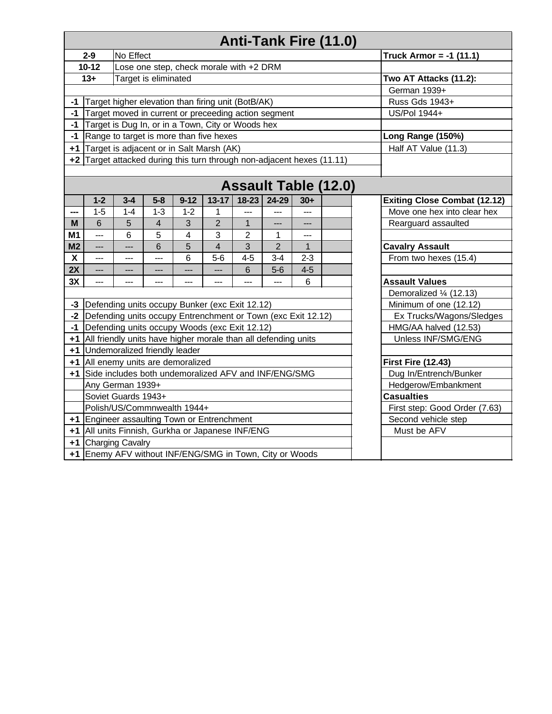|                         | Anti-Tank Fire (11.0)                                                             |                                                                          |                |              |                           |                |                          |                |                       |                                     |  |  |  |
|-------------------------|-----------------------------------------------------------------------------------|--------------------------------------------------------------------------|----------------|--------------|---------------------------|----------------|--------------------------|----------------|-----------------------|-------------------------------------|--|--|--|
|                         | $2-9$                                                                             | No Effect                                                                |                |              | Truck Armor = $-1$ (11.1) |                |                          |                |                       |                                     |  |  |  |
|                         | $10-12$                                                                           | Lose one step, check morale with +2 DRM                                  |                |              |                           |                |                          |                |                       |                                     |  |  |  |
|                         | $13+$                                                                             | Target is eliminated                                                     |                |              | Two AT Attacks (11.2):    |                |                          |                |                       |                                     |  |  |  |
|                         |                                                                                   |                                                                          |                |              | German 1939+              |                |                          |                |                       |                                     |  |  |  |
| $-1$                    | Target higher elevation than firing unit (BotB/AK)                                |                                                                          |                |              | Russ Gds 1943+            |                |                          |                |                       |                                     |  |  |  |
| $-1$                    | Target moved in current or preceeding action segment                              |                                                                          |                | US/Pol 1944+ |                           |                |                          |                |                       |                                     |  |  |  |
| $-1$                    | Target is Dug In, or in a Town, City or Woods hex                                 |                                                                          |                |              |                           |                |                          |                |                       |                                     |  |  |  |
| $-1$                    | Range to target is more than five hexes<br>Long Range (150%)                      |                                                                          |                |              |                           |                |                          |                |                       |                                     |  |  |  |
|                         | +1 Target is adjacent or in Salt Marsh (AK)                                       |                                                                          |                |              |                           |                |                          |                |                       | Half AT Value (11.3)                |  |  |  |
|                         |                                                                                   |                                                                          |                |              |                           |                |                          |                |                       |                                     |  |  |  |
|                         | $+2$ Target attacked during this turn through non-adjacent hexes (11.11)          |                                                                          |                |              |                           |                |                          |                |                       |                                     |  |  |  |
|                         | <b>Assault Table (12.0)</b>                                                       |                                                                          |                |              |                           |                |                          |                |                       |                                     |  |  |  |
|                         | $1 - 2$                                                                           | $3 - 4$                                                                  | $5-8$          | $9 - 12$     | $13 - 17$                 | $18-23$        | 24-29                    | $30+$          |                       | <b>Exiting Close Combat (12.12)</b> |  |  |  |
| ---                     | $1-5$                                                                             | $1 - 4$                                                                  | $1 - 3$        | $1 - 2$      | 1                         | $\overline{a}$ | $---$                    | $\overline{a}$ |                       | Move one hex into clear hex         |  |  |  |
| M                       | 6                                                                                 | 5                                                                        | $\overline{4}$ | 3            | $\overline{2}$            | $\overline{1}$ | $\overline{\phantom{a}}$ | $---$          |                       | Rearguard assaulted                 |  |  |  |
| M1                      | $\overline{a}$                                                                    | 5<br>3<br>6<br>$\overline{4}$<br>$\overline{2}$<br>$\mathbf{1}$<br>$---$ |                |              |                           |                |                          |                |                       |                                     |  |  |  |
| M <sub>2</sub>          | $---$                                                                             | $\overline{a}$                                                           | $\overline{6}$ | 5            | $\overline{4}$            | $\overline{3}$ | $\overline{2}$           | $\overline{1}$ |                       | <b>Cavalry Assault</b>              |  |  |  |
| $\overline{\mathbf{x}}$ | $---$                                                                             | $---$                                                                    | $---$          | 6            | $5-6$                     | $4 - 5$        | $3 - 4$                  | $2 - 3$        |                       | From two hexes (15.4)               |  |  |  |
| 2X                      | $\overline{a}$                                                                    | $5-6$<br>$4 - 5$<br>6<br>$\overline{a}$<br>$---$<br>$---$<br>$---$       |                |              |                           |                |                          |                |                       |                                     |  |  |  |
| 3X                      | 6<br>$\overline{a}$<br>$---$<br>$---$<br>$---$<br>$---$<br>$---$<br>$---$         |                                                                          |                |              |                           |                |                          |                | <b>Assault Values</b> |                                     |  |  |  |
|                         |                                                                                   |                                                                          |                |              |                           |                |                          |                |                       | Demoralized 1/4 (12.13)             |  |  |  |
| $-3$                    | Defending units occupy Bunker (exc Exit 12.12)                                    |                                                                          |                |              |                           |                |                          |                |                       | Minimum of one (12.12)              |  |  |  |
|                         | -2  Defending units occupy Entrenchment or Town (exc Exit 12.12)                  |                                                                          |                |              |                           |                |                          |                |                       | Ex Trucks/Wagons/Sledges            |  |  |  |
| $-1$                    | Defending units occupy Woods (exc Exit 12.12)                                     |                                                                          |                |              |                           |                |                          |                |                       | HMG/AA halved (12.53)               |  |  |  |
|                         | +1   All friendly units have higher morale than all defending units               |                                                                          |                |              |                           |                |                          |                |                       | Unless INF/SMG/ENG                  |  |  |  |
|                         | +1 Undemoralized friendly leader                                                  |                                                                          |                |              |                           |                |                          |                |                       |                                     |  |  |  |
|                         | +1 All enemy units are demoralized<br><b>First Fire (12.43)</b>                   |                                                                          |                |              |                           |                |                          |                |                       |                                     |  |  |  |
|                         | +1 Side includes both undemoralized AFV and INF/ENG/SMG<br>Dug In/Entrench/Bunker |                                                                          |                |              |                           |                |                          |                |                       |                                     |  |  |  |
|                         |                                                                                   | Any German 1939+                                                         |                |              |                           |                |                          |                |                       | Hedgerow/Embankment                 |  |  |  |
|                         |                                                                                   | Soviet Guards 1943+                                                      |                |              |                           |                |                          |                |                       | <b>Casualties</b>                   |  |  |  |
|                         | Polish/US/Commnwealth 1944+<br>First step: Good Order (7.63)                      |                                                                          |                |              |                           |                |                          |                |                       |                                     |  |  |  |
|                         | +1 Engineer assaulting Town or Entrenchment<br>Second vehicle step                |                                                                          |                |              |                           |                |                          |                |                       |                                     |  |  |  |
|                         | +1 All units Finnish, Gurkha or Japanese INF/ENG                                  |                                                                          |                |              |                           |                |                          |                |                       | Must be AFV                         |  |  |  |
|                         | +1 Charging Cavalry                                                               |                                                                          |                |              |                           |                |                          |                |                       |                                     |  |  |  |
|                         | +1 Enemy AFV without INF/ENG/SMG in Town, City or Woods                           |                                                                          |                |              |                           |                |                          |                |                       |                                     |  |  |  |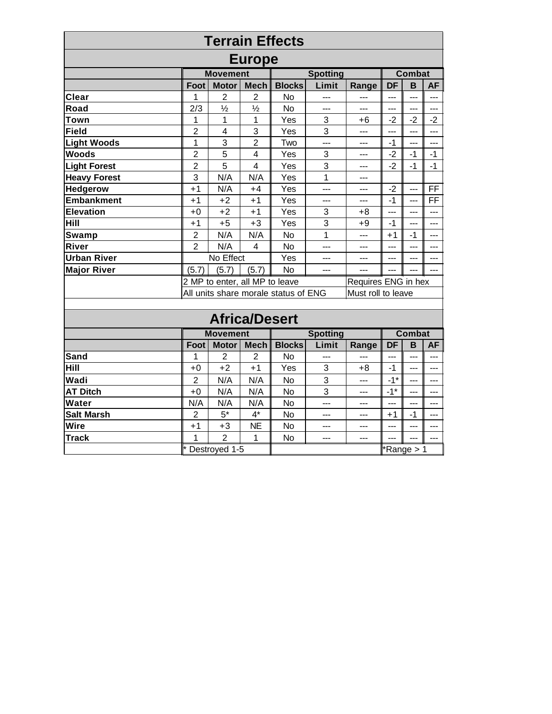|                     |                                                            |                                |                | <b>Terrain Effects</b> |                 |                     |                     |                |                |
|---------------------|------------------------------------------------------------|--------------------------------|----------------|------------------------|-----------------|---------------------|---------------------|----------------|----------------|
|                     |                                                            |                                | <b>Europe</b>  |                        |                 |                     |                     |                |                |
|                     | <b>Movement</b><br><b>Spotting</b><br>Combat               |                                |                |                        |                 |                     |                     |                |                |
|                     | Foot                                                       | <b>Motor</b>                   | <b>Mech</b>    | <b>Blocks</b>          | Limit           | Range               | DF                  | B              | <b>AF</b>      |
| Clear               | 1                                                          | $\overline{2}$                 | $\overline{2}$ | <b>No</b>              | $---$           | ---                 | $\overline{a}$      | ---            |                |
| Road                | 2/3                                                        | $\frac{1}{2}$                  | $\frac{1}{2}$  | <b>No</b>              | $---$           | ---                 | ---                 | $\overline{a}$ | ---            |
| Town                | 1                                                          | 1                              | 1              | Yes                    | 3               | +6                  | $-2$                | $-2$           | $-2$           |
| <b>Field</b>        | $\overline{2}$                                             | $\overline{4}$                 | 3              | Yes                    | 3               | $---$               | $---$               | $---$          | ---            |
| <b>Light Woods</b>  | $\mathbf{1}$                                               | $\overline{3}$                 | $\overline{2}$ | Two                    | $---$           | $---$               | $-1$                | $---$          | ---            |
| <b>Woods</b>        | $\overline{2}$                                             | 5                              | $\overline{4}$ | Yes                    | 3               | ---                 | $-2$                | $-1$           | $-1$           |
| <b>Light Forest</b> | $\overline{2}$                                             | 5                              | $\overline{4}$ | Yes                    | 3               | $---$               | $-2$                | $-1$           | $-1$           |
| <b>Heavy Forest</b> | 3                                                          | N/A                            | N/A            | Yes                    | 1               | $---$               |                     |                |                |
| Hedgerow            | $+1$                                                       | N/A                            | $+4$           | Yes                    | $---$           | $---$               | $-2$                | $---$          | FF             |
| Embankment          | $+1$                                                       | $+2$                           | $+1$           | Yes                    | $---$           | ---                 | $-1$                | $---$          | FF             |
| Elevation           | $+0$                                                       | $+2$                           | $+1$           | Yes                    | 3               | $+8$                | ---                 | $---$          | $\overline{a}$ |
| Hill                | $+1$                                                       | $+5$                           | $+3$           | Yes                    | 3               | $+9$                | $-1$                | $---$          | ---            |
| Swamp               | $\overline{2}$                                             | N/A                            | N/A            | <b>No</b>              | 1               | $---$               | $+1$                | $-1$           | ---            |
| River               | $\overline{2}$                                             | N/A                            | $\overline{4}$ | <b>No</b>              | $---$           | ---                 | $---$               | ---            | ---            |
| <b>Urban River</b>  |                                                            | No Effect                      |                | Yes                    | ---             | ---                 | $---$<br>---<br>--- |                |                |
| <b>Major River</b>  | (5.7)                                                      | (5.7)                          | (5.7)          | <b>No</b>              | $---$           | $---$               | $---$               |                | $---$          |
|                     |                                                            | 2 MP to enter, all MP to leave |                |                        |                 | Requires ENG in hex |                     |                |                |
|                     | All units share morale status of ENG<br>Must roll to leave |                                |                |                        |                 |                     |                     |                |                |
|                     |                                                            |                                |                |                        |                 |                     |                     |                |                |
|                     |                                                            | <b>Africa/Desert</b>           |                |                        |                 |                     |                     |                |                |
|                     |                                                            | <b>Movement</b>                |                |                        | <b>Spotting</b> |                     |                     | <b>Combat</b>  |                |
|                     | Foot                                                       | <b>Motor</b>                   | <b>Mech</b>    | <b>Blocks</b>          | Limit           | Range               | DF                  | B              | <b>AF</b>      |
| Sand                | 1                                                          | 2                              | $\overline{2}$ | <b>No</b>              | ---             | ---                 | ---                 | $---$          | ---            |
| Hill                | $+0$                                                       | $+2$                           | $+1$           | Yes                    | $\sqrt{3}$      | $+8$                | $-1$                | $---$          | $---$          |
| Wadi                | $\overline{2}$                                             | N/A                            | N/A            | <b>No</b>              | 3               | $---$               | $-1$ <sup>*</sup>   | $---$          | $---$          |
| <b>AT Ditch</b>     | $+0$                                                       | N/A                            | N/A            | <b>No</b>              | 3               | $---$               | $-1$ *              | $---$          | $---$          |
| Water               | N/A                                                        | N/A                            | N/A            | <b>No</b>              | $---$           | $---$               | $---$               | $---$          | $---$          |
| <b>Salt Marsh</b>   | $\overline{2}$                                             | $5*$                           | $4^*$          | <b>No</b>              | $---$           | $---$               | $+1$                | $-1$           | $---$          |
| <b>Wire</b>         | $+1$                                                       | $+3$                           | <b>NE</b>      | <b>No</b>              | $---$           | $---$               | $---$               | $---$          | $---$          |
| <b>Track</b>        | 1                                                          | $\overline{2}$                 | $\mathbf{1}$   | <b>No</b>              | $---$           | $---$               | $---$               |                | $---$          |
|                     |                                                            | Destroyed 1-5                  |                |                        |                 |                     |                     | Range > 1      |                |
|                     |                                                            |                                |                |                        |                 |                     |                     |                |                |